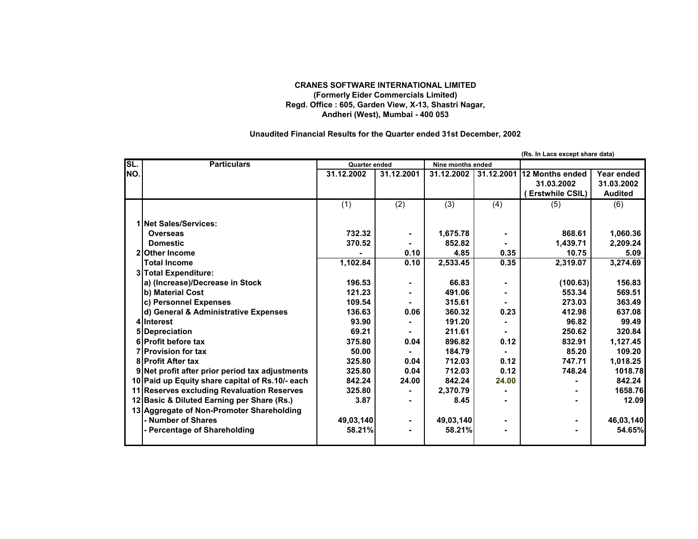## **CRANES SOFTWARE INTERNATIONAL LIMITED (Formerly Eider Commercials Limited) Regd. Office : 605, Garden View, X-13, Shastri Nagar, Andheri (West), Mumbai - 400 053**

## **Unaudited Financial Results for the Quarter ended 31st December, 2002**

|     |                                                 |                      |            |                   |            | (Rs. In Lacs except share data) |                |
|-----|-------------------------------------------------|----------------------|------------|-------------------|------------|---------------------------------|----------------|
| SL. | <b>Particulars</b>                              | <b>Quarter ended</b> |            | Nine months ended |            |                                 |                |
| NO. |                                                 | 31.12.2002           | 31.12.2001 | 31.12.2002        | 31.12.2001 | 12 Months ended                 | Year ended     |
|     |                                                 |                      |            |                   |            | 31.03.2002                      | 31.03.2002     |
|     |                                                 |                      |            |                   |            | (Erstwhile CSIL)                | <b>Audited</b> |
|     |                                                 | (1)                  | (2)        | (3)               | (4)        | (5)                             | (6)            |
|     | 1 Net Sales/Services:                           |                      |            |                   |            |                                 |                |
|     | Overseas                                        | 732.32               |            | 1,675.78          |            | 868.61                          | 1,060.36       |
|     | <b>Domestic</b>                                 | 370.52               |            | 852.82            |            | 1.439.71                        | 2,209.24       |
|     | 2 Other Income                                  |                      | 0.10       | 4.85              | 0.35       | 10.75                           | 5.09           |
|     | <b>Total Income</b>                             | 1,102.84             | 0.10       | 2,533.45          | 0.35       | 2,319.07                        | 3,274.69       |
|     | 3 Total Expenditure:                            |                      |            |                   |            |                                 |                |
|     | a) (Increase)/Decrease in Stock                 | 196.53               |            | 66.83             |            | (100.63)                        | 156.83         |
|     | b) Material Cost                                | 121.23               |            | 491.06            |            | 553.34                          | 569.51         |
|     | c) Personnel Expenses                           | 109.54               |            | 315.61            |            | 273.03                          | 363.49         |
|     | d) General & Administrative Expenses            | 136.63               | 0.06       | 360.32            | 0.23       | 412.98                          | 637.08         |
|     | 4 Interest                                      | 93.90                |            | 191.20            |            | 96.82                           | 99.49          |
|     | 5 Depreciation                                  | 69.21                |            | 211.61            |            | 250.62                          | 320.84         |
|     | 6 Profit before tax                             | 375.80               | 0.04       | 896.82            | 0.12       | 832.91                          | 1,127.45       |
|     | <b>7</b> Provision for tax                      | 50.00                |            | 184.79            |            | 85.20                           | 109.20         |
|     | <b>8 Profit After tax</b>                       | 325.80               | 0.04       | 712.03            | 0.12       | 747.71                          | 1,018.25       |
|     | 9 Net profit after prior period tax adjustments | 325.80               | 0.04       | 712.03            | 0.12       | 748.24                          | 1018.78        |
|     | 10 Paid up Equity share capital of Rs.10/- each | 842.24               | 24.00      | 842.24            | 24.00      |                                 | 842.24         |
|     | 11 Reserves excluding Revaluation Reserves      | 325.80               |            | 2,370.79          |            |                                 | 1658.76        |
|     | 12 Basic & Diluted Earning per Share (Rs.)      | 3.87                 |            | 8.45              |            |                                 | 12.09          |
|     | 13 Aggregate of Non-Promoter Shareholding       |                      |            |                   |            |                                 |                |
|     | - Number of Shares                              | 49,03,140            |            | 49,03,140         |            |                                 | 46,03,140      |
|     | - Percentage of Shareholding                    | 58.21%               |            | 58.21%            |            |                                 | 54.65%         |
|     |                                                 |                      |            |                   |            |                                 |                |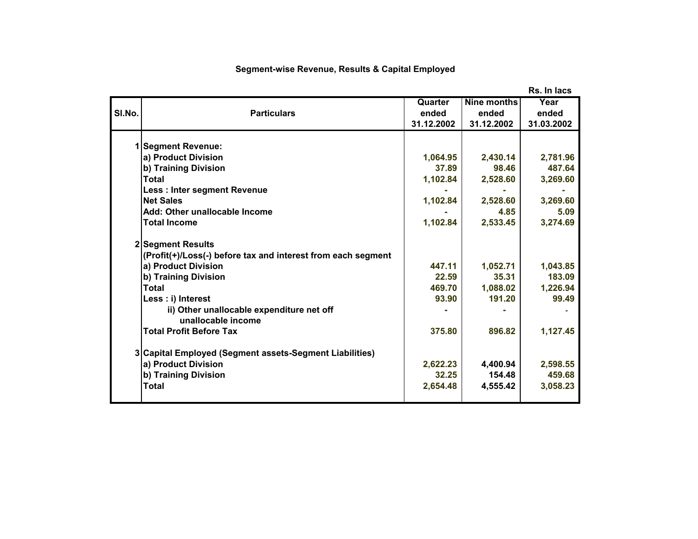|        |                                                              |            |             | Rs. In lacs |
|--------|--------------------------------------------------------------|------------|-------------|-------------|
|        |                                                              | Quarter    | Nine months | Year        |
| SI.No. | <b>Particulars</b>                                           | ended      | ended       | ended       |
|        |                                                              | 31.12.2002 | 31.12.2002  | 31.03.2002  |
|        |                                                              |            |             |             |
|        | <b>Segment Revenue:</b>                                      |            |             |             |
|        | a) Product Division                                          | 1,064.95   | 2,430.14    | 2,781.96    |
|        | b) Training Division                                         | 37.89      | 98.46       | 487.64      |
|        | Total                                                        | 1,102.84   | 2,528.60    | 3,269.60    |
|        | <b>Less: Inter segment Revenue</b>                           |            |             |             |
|        | <b>Net Sales</b>                                             | 1,102.84   | 2,528.60    | 3,269.60    |
|        | Add: Other unallocable Income                                |            | 4.85        | 5.09        |
|        | <b>Total Income</b>                                          | 1,102.84   | 2,533.45    | 3,274.69    |
|        | 2 Segment Results                                            |            |             |             |
|        | (Profit(+)/Loss(-) before tax and interest from each segment |            |             |             |
|        | a) Product Division                                          | 447.11     | 1,052.71    | 1,043.85    |
|        | b) Training Division                                         | 22.59      | 35.31       | 183.09      |
|        | <b>Total</b>                                                 | 469.70     | 1,088.02    | 1,226.94    |
|        | Less : i) Interest                                           | 93.90      | 191.20      | 99.49       |
|        | ii) Other unallocable expenditure net off                    |            |             |             |
|        | unallocable income                                           |            |             |             |
|        | <b>Total Profit Before Tax</b>                               | 375.80     | 896.82      | 1,127.45    |
|        |                                                              |            |             |             |
|        | 3 Capital Employed (Segment assets-Segment Liabilities)      |            |             |             |
|        | a) Product Division                                          | 2,622.23   | 4,400.94    | 2,598.55    |
|        | b) Training Division                                         | 32.25      | 154.48      | 459.68      |
|        | <b>Total</b>                                                 | 2,654.48   | 4,555.42    | 3,058.23    |
|        |                                                              |            |             |             |

## **Segment-wise Revenue, Results & Capital Employed**